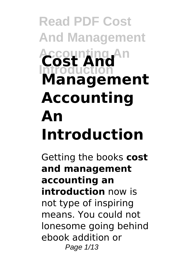# **Read PDF Cost And Management Accounting An Introduction Cost And Management Accounting An Introduction**

Getting the books **cost and management accounting an introduction** now is not type of inspiring means. You could not lonesome going behind ebook addition or Page 1/13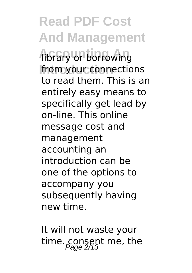**Read PDF Cost And Management Hibrary or borrowing** from your connections to read them. This is an entirely easy means to specifically get lead by on-line. This online message cost and management accounting an introduction can be one of the options to accompany you subsequently having new time.

It will not waste your time. consent me, the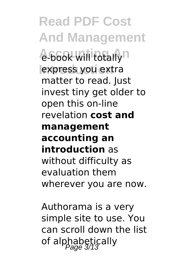**Read PDF Cost And Management A-book will totally**n express you extra matter to read. Just invest tiny get older to open this on-line revelation **cost and management accounting an introduction** as without difficulty as evaluation them wherever you are now.

Authorama is a very simple site to use. You can scroll down the list of alphabetically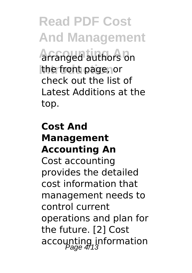**Read PDF Cost And Management Accounting An** arranged authors on the front page, or check out the list of Latest Additions at the top.

### **Cost And Management Accounting An** Cost accounting provides the detailed cost information that management needs to control current operations and plan for the future. [2] Cost accounting information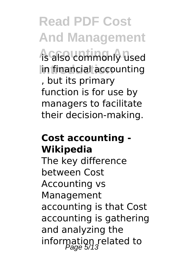**Read PDF Cost And Management** *As also commonly used* In financial accounting , but its primary function is for use by managers to facilitate their decision-making.

#### **Cost accounting - Wikipedia**

The key difference between Cost Accounting vs Management accounting is that Cost accounting is gathering and analyzing the information related to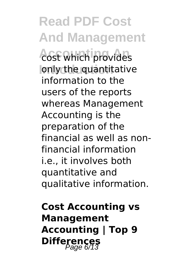**Read PDF Cost And Management** *<u>Acst</u>* which provides **Introduction** only the quantitative information to the users of the reports whereas Management Accounting is the preparation of the financial as well as nonfinancial information i.e., it involves both quantitative and qualitative information.

**Cost Accounting vs Management Accounting | Top 9 Differences**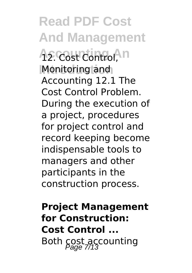**Read PDF Cost And Management A<sub>2</sub>. Cost Control**, In **Introduction** Monitoring and Accounting 12.1 The Cost Control Problem. During the execution of a project, procedures for project control and record keeping become indispensable tools to managers and other participants in the construction process.

**Project Management for Construction: Cost Control ...** Both cost accounting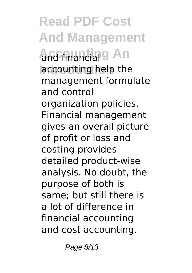**Read PDF Cost And Management And financial 9 An Introduction** accounting help the management formulate and control organization policies. Financial management gives an overall picture of profit or loss and costing provides detailed product-wise analysis. No doubt, the purpose of both is same; but still there is a lot of difference in financial accounting and cost accounting.

Page 8/13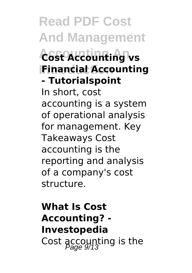**Read PDF Cost And Management Accounting An Cost Accounting vs IFinancial Accounting - Tutorialspoint** In short, cost accounting is a system of operational analysis for management. Key Takeaways Cost accounting is the reporting and analysis of a company's cost structure.

## **What Is Cost Accounting? - Investopedia** Cost accounting is the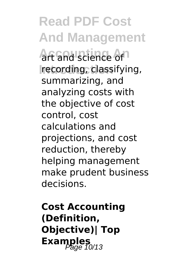**Read PDF Cost And Management Art and science of Introduction** recording, classifying, summarizing, and analyzing costs with the objective of cost control, cost calculations and projections, and cost reduction, thereby helping management make prudent business decisions.

**Cost Accounting (Definition, Objective)| Top Examples**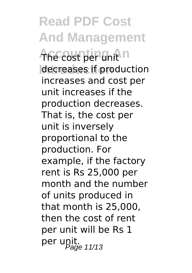**Read PDF Cost And Management The cost per unit n** decreases if production increases and cost per unit increases if the production decreases. That is, the cost per unit is inversely proportional to the production. For example, if the factory rent is Rs 25,000 per month and the number of units produced in that month is 25,000, then the cost of rent per unit will be Rs 1 per unit.<br>Page 11/13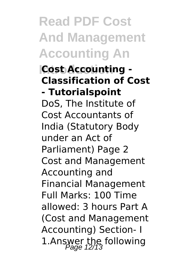**Read PDF Cost And Management Accounting An**

#### **Introduction Cost Accounting - Classification of Cost - Tutorialspoint**

DoS, The Institute of Cost Accountants of India (Statutory Body under an Act of Parliament) Page 2 Cost and Management Accounting and Financial Management Full Marks: 100 Time allowed: 3 hours Part A (Cost and Management Accounting) Section- I 1.Answer the following